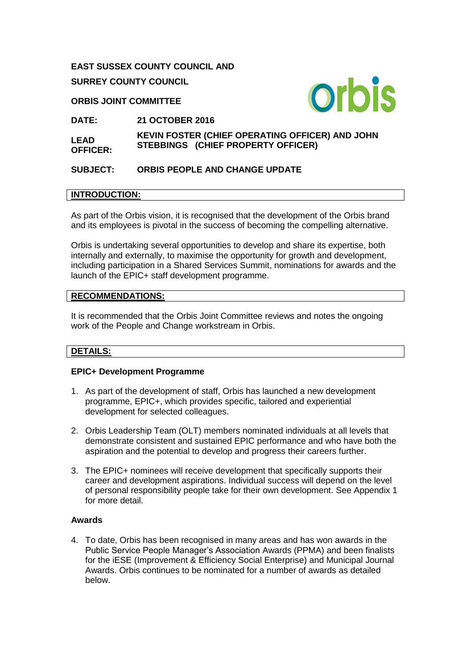# **EAST SUSSEX COUNTY COUNCIL AND SURREY COUNTY COUNCIL**

### **ORBIS JOINT COMMITTEE**



**DATE: 21 OCTOBER 2016**

**LEAD OFFICER: KEVIN FOSTER (CHIEF OPERATING OFFICER) AND JOHN STEBBINGS (CHIEF PROPERTY OFFICER)** 

## **SUBJECT: ORBIS PEOPLE AND CHANGE UPDATE**

## **INTRODUCTION:**

As part of the Orbis vision, it is recognised that the development of the Orbis brand and its employees is pivotal in the success of becoming the compelling alternative.

Orbis is undertaking several opportunities to develop and share its expertise, both internally and externally, to maximise the opportunity for growth and development, including participation in a Shared Services Summit, nominations for awards and the launch of the EPIC+ staff development programme.

## **RECOMMENDATIONS:**

It is recommended that the Orbis Joint Committee reviews and notes the ongoing work of the People and Change workstream in Orbis.

## **DETAILS:**

#### **EPIC+ Development Programme**

- 1. As part of the development of staff, Orbis has launched a new development programme, EPIC+, which provides specific, tailored and experiential development for selected colleagues.
- 2. Orbis Leadership Team (OLT) members nominated individuals at all levels that demonstrate consistent and sustained EPIC performance and who have both the aspiration and the potential to develop and progress their careers further.
- 3. The EPIC+ nominees will receive development that specifically supports their career and development aspirations. Individual success will depend on the level of personal responsibility people take for their own development. See Appendix 1 for more detail.

#### **Awards**

4. To date, Orbis has been recognised in many areas and has won awards in the Public Service People Manager's Association Awards (PPMA) and been finalists for the iESE (Improvement & Efficiency Social Enterprise) and Municipal Journal Awards. Orbis continues to be nominated for a number of awards as detailed below.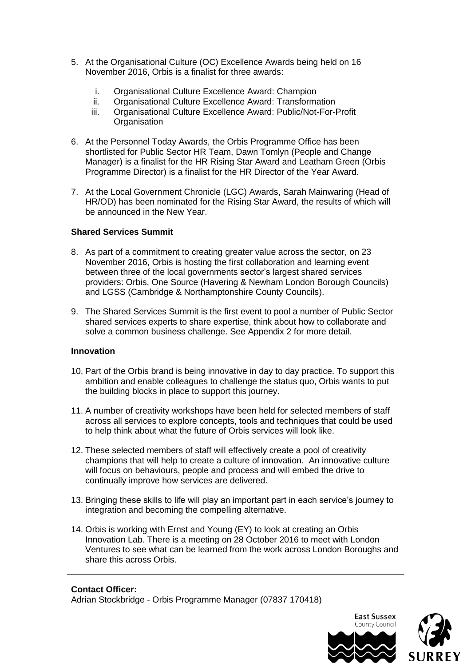- 5. At the Organisational Culture (OC) Excellence Awards being held on 16 November 2016, Orbis is a finalist for three awards:
	- i. Organisational Culture Excellence Award: Champion<br>ii. Organisational Culture Excellence Award: Transforma
	- Organisational Culture Excellence Award: Transformation
	- iii. Organisational Culture Excellence Award: Public/Not-For-Profit **Organisation**
- 6. At the Personnel Today Awards, the Orbis Programme Office has been shortlisted for Public Sector HR Team, Dawn Tomlyn (People and Change Manager) is a finalist for the HR Rising Star Award and Leatham Green (Orbis Programme Director) is a finalist for the HR Director of the Year Award.
- 7. At the Local Government Chronicle (LGC) Awards, Sarah Mainwaring (Head of HR/OD) has been nominated for the Rising Star Award, the results of which will be announced in the New Year.

## **Shared Services Summit**

- 8. As part of a commitment to creating greater value across the sector, on 23 November 2016, Orbis is hosting the first collaboration and learning event between three of the local governments sector's largest shared services providers: Orbis, One Source (Havering & Newham London Borough Councils) and LGSS (Cambridge & Northamptonshire County Councils).
- 9. The Shared Services Summit is the first event to pool a number of Public Sector shared services experts to share expertise, think about how to collaborate and solve a common business challenge. See Appendix 2 for more detail.

#### **Innovation**

- 10. Part of the Orbis brand is being innovative in day to day practice. To support this ambition and enable colleagues to challenge the status quo, Orbis wants to put the building blocks in place to support this journey.
- 11. A number of creativity workshops have been held for selected members of staff across all services to explore concepts, tools and techniques that could be used to help think about what the future of Orbis services will look like.
- 12. These selected members of staff will effectively create a pool of creativity champions that will help to create a culture of innovation. An innovative culture will focus on behaviours, people and process and will embed the drive to continually improve how services are delivered.
- 13. Bringing these skills to life will play an important part in each service's journey to integration and becoming the compelling alternative.
- 14. Orbis is working with Ernst and Young (EY) to look at creating an Orbis Innovation Lab. There is a meeting on 28 October 2016 to meet with London Ventures to see what can be learned from the work across London Boroughs and share this across Orbis.

#### **Contact Officer:**

Adrian Stockbridge - Orbis Programme Manager (07837 170418)